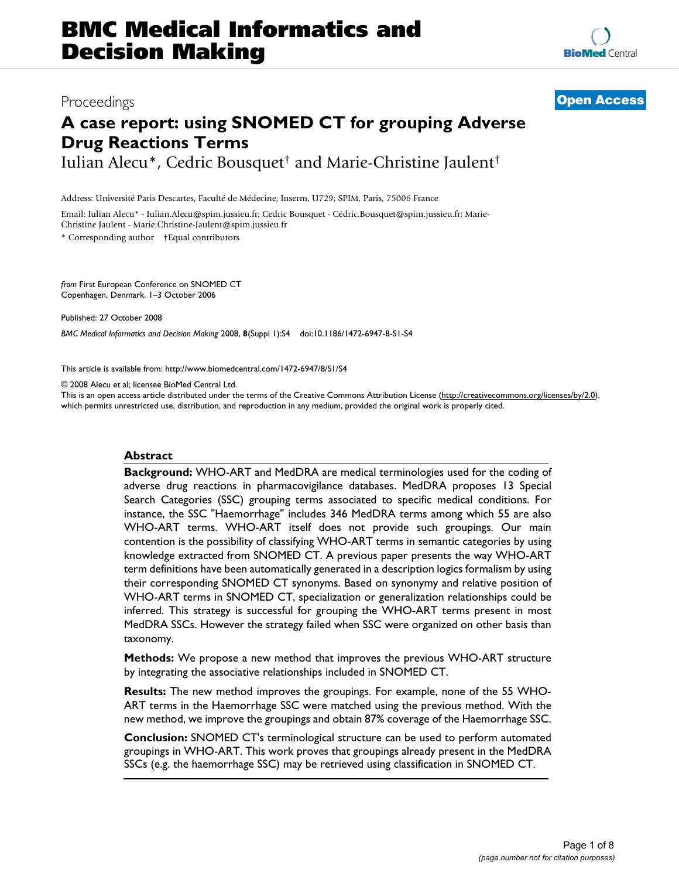# **A case report: using SNOMED CT for grouping Adverse Drug Reactions Terms**

Iulian Alecu\*, Cedric Bousquet† and Marie-Christine Jaulent†

Address: Université Paris Descartes, Faculté de Médecine; Inserm, U729; SPIM, Paris, 75006 France

Email: Iulian Alecu\* - Iulian.Alecu@spim.jussieu.fr; Cedric Bousquet - Cédric.Bousquet@spim.jussieu.fr; Marie-Christine Jaulent - Marie.Christine-Jaulent@spim.jussieu.fr

\* Corresponding author †Equal contributors

*from* First European Conference on SNOMED CT Copenhagen, Denmark. 1–3 October 2006

Published: 27 October 2008

*BMC Medical Informatics and Decision Making* 2008, **8**(Suppl 1):S4 doi:10.1186/1472-6947-8-S1-S4

[This article is available from: http://www.biomedcentral.com/1472-6947/8/S1/S4](http://www.biomedcentral.com/1472-6947/8/S1/S4)

© 2008 Alecu et al; licensee BioMed Central Ltd.

This is an open access article distributed under the terms of the Creative Commons Attribution License [\(http://creativecommons.org/licenses/by/2.0\)](http://creativecommons.org/licenses/by/2.0), which permits unrestricted use, distribution, and reproduction in any medium, provided the original work is properly cited.

#### **Abstract**

**Background:** WHO-ART and MedDRA are medical terminologies used for the coding of adverse drug reactions in pharmacovigilance databases. MedDRA proposes 13 Special Search Categories (SSC) grouping terms associated to specific medical conditions. For instance, the SSC "Haemorrhage" includes 346 MedDRA terms among which 55 are also WHO-ART terms. WHO-ART itself does not provide such groupings. Our main contention is the possibility of classifying WHO-ART terms in semantic categories by using knowledge extracted from SNOMED CT. A previous paper presents the way WHO-ART term definitions have been automatically generated in a description logics formalism by using their corresponding SNOMED CT synonyms. Based on synonymy and relative position of WHO-ART terms in SNOMED CT, specialization or generalization relationships could be inferred. This strategy is successful for grouping the WHO-ART terms present in most MedDRA SSCs. However the strategy failed when SSC were organized on other basis than taxonomy.

**Methods:** We propose a new method that improves the previous WHO-ART structure by integrating the associative relationships included in SNOMED CT.

**Results:** The new method improves the groupings. For example, none of the 55 WHO-ART terms in the Haemorrhage SSC were matched using the previous method. With the new method, we improve the groupings and obtain 87% coverage of the Haemorrhage SSC.

**Conclusion:** SNOMED CT's terminological structure can be used to perform automated groupings in WHO-ART. This work proves that groupings already present in the MedDRA SSCs (e.g. the haemorrhage SSC) may be retrieved using classification in SNOMED CT.

## Proceedings **[Open Access](http://www.biomedcentral.com/info/about/charter/)**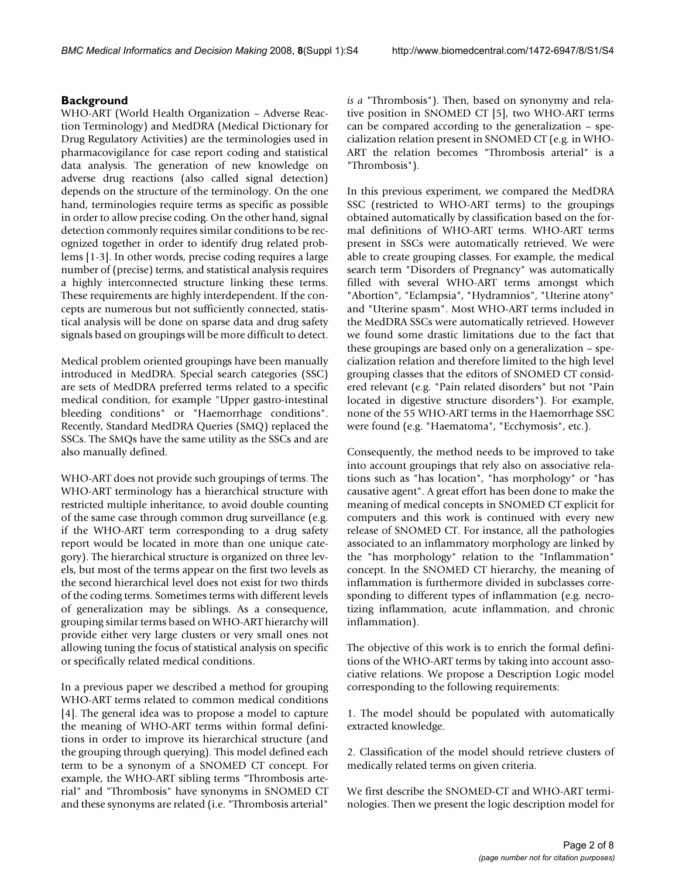### **Background**

WHO-ART (World Health Organization – Adverse Reaction Terminology) and MedDRA (Medical Dictionary for Drug Regulatory Activities) are the terminologies used in pharmacovigilance for case report coding and statistical data analysis. The generation of new knowledge on adverse drug reactions (also called signal detection) depends on the structure of the terminology. On the one hand, terminologies require terms as specific as possible in order to allow precise coding. On the other hand, signal detection commonly requires similar conditions to be recognized together in order to identify drug related problems [1-3]. In other words, precise coding requires a large number of (precise) terms, and statistical analysis requires a highly interconnected structure linking these terms. These requirements are highly interdependent. If the concepts are numerous but not sufficiently connected, statistical analysis will be done on sparse data and drug safety signals based on groupings will be more difficult to detect.

Medical problem oriented groupings have been manually introduced in MedDRA. Special search categories (SSC) are sets of MedDRA preferred terms related to a specific medical condition, for example "Upper gastro-intestinal bleeding conditions" or "Haemorrhage conditions". Recently, Standard MedDRA Queries (SMQ) replaced the SSCs. The SMQs have the same utility as the SSCs and are also manually defined.

WHO-ART does not provide such groupings of terms. The WHO-ART terminology has a hierarchical structure with restricted multiple inheritance, to avoid double counting of the same case through common drug surveillance (e.g. if the WHO-ART term corresponding to a drug safety report would be located in more than one unique category). The hierarchical structure is organized on three levels, but most of the terms appear on the first two levels as the second hierarchical level does not exist for two thirds of the coding terms. Sometimes terms with different levels of generalization may be siblings. As a consequence, grouping similar terms based on WHO-ART hierarchy will provide either very large clusters or very small ones not allowing tuning the focus of statistical analysis on specific or specifically related medical conditions.

In a previous paper we described a method for grouping WHO-ART terms related to common medical conditions [4]. The general idea was to propose a model to capture the meaning of WHO-ART terms within formal definitions in order to improve its hierarchical structure (and the grouping through querying). This model defined each term to be a synonym of a SNOMED CT concept. For example, the WHO-ART sibling terms "Thrombosis arterial" and "Thrombosis" have synonyms in SNOMED CT and these synonyms are related (i.e. "Thrombosis arterial"

*is a* "Thrombosis"). Then, based on synonymy and relative position in SNOMED CT [5], two WHO-ART terms can be compared according to the generalization – specialization relation present in SNOMED CT (e.g. in WHO-ART the relation becomes "Thrombosis arterial" is a "Thrombosis").

In this previous experiment, we compared the MedDRA SSC (restricted to WHO-ART terms) to the groupings obtained automatically by classification based on the formal definitions of WHO-ART terms. WHO-ART terms present in SSCs were automatically retrieved. We were able to create grouping classes. For example, the medical search term "Disorders of Pregnancy" was automatically filled with several WHO-ART terms amongst which "Abortion", "Eclampsia", "Hydramnios", "Uterine atony" and "Uterine spasm". Most WHO-ART terms included in the MedDRA SSCs were automatically retrieved. However we found some drastic limitations due to the fact that these groupings are based only on a generalization – specialization relation and therefore limited to the high level grouping classes that the editors of SNOMED CT considered relevant (e.g. "Pain related disorders" but not "Pain located in digestive structure disorders"). For example, none of the 55 WHO-ART terms in the Haemorrhage SSC were found (e.g. "Haematoma", "Ecchymosis", etc.).

Consequently, the method needs to be improved to take into account groupings that rely also on associative relations such as "has location", "has morphology" or "has causative agent". A great effort has been done to make the meaning of medical concepts in SNOMED CT explicit for computers and this work is continued with every new release of SNOMED CT. For instance, all the pathologies associated to an inflammatory morphology are linked by the "has morphology" relation to the "Inflammation" concept. In the SNOMED CT hierarchy, the meaning of inflammation is furthermore divided in subclasses corresponding to different types of inflammation (e.g. necrotizing inflammation, acute inflammation, and chronic inflammation).

The objective of this work is to enrich the formal definitions of the WHO-ART terms by taking into account associative relations. We propose a Description Logic model corresponding to the following requirements:

1. The model should be populated with automatically extracted knowledge.

2. Classification of the model should retrieve clusters of medically related terms on given criteria.

We first describe the SNOMED-CT and WHO-ART terminologies. Then we present the logic description model for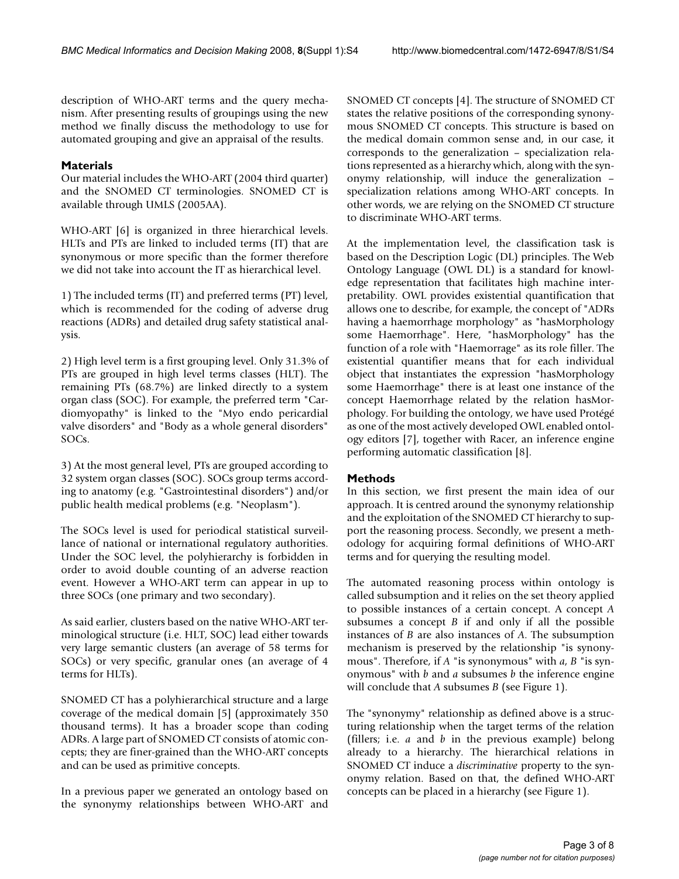description of WHO-ART terms and the query mechanism. After presenting results of groupings using the new method we finally discuss the methodology to use for automated grouping and give an appraisal of the results.

#### **Materials**

Our material includes the WHO-ART (2004 third quarter) and the SNOMED CT terminologies. SNOMED CT is available through UMLS (2005AA).

WHO-ART [6] is organized in three hierarchical levels. HLTs and PTs are linked to included terms (IT) that are synonymous or more specific than the former therefore we did not take into account the IT as hierarchical level.

1) The included terms (IT) and preferred terms (PT) level, which is recommended for the coding of adverse drug reactions (ADRs) and detailed drug safety statistical analysis.

2) High level term is a first grouping level. Only 31.3% of PTs are grouped in high level terms classes (HLT). The remaining PTs (68.7%) are linked directly to a system organ class (SOC). For example, the preferred term "Cardiomyopathy" is linked to the "Myo endo pericardial valve disorders" and "Body as a whole general disorders" SOCs.

3) At the most general level, PTs are grouped according to 32 system organ classes (SOC). SOCs group terms according to anatomy (e.g. "Gastrointestinal disorders") and/or public health medical problems (e.g. "Neoplasm").

The SOCs level is used for periodical statistical surveillance of national or international regulatory authorities. Under the SOC level, the polyhierarchy is forbidden in order to avoid double counting of an adverse reaction event. However a WHO-ART term can appear in up to three SOCs (one primary and two secondary).

As said earlier, clusters based on the native WHO-ART terminological structure (i.e. HLT, SOC) lead either towards very large semantic clusters (an average of 58 terms for SOCs) or very specific, granular ones (an average of 4 terms for HLTs).

SNOMED CT has a polyhierarchical structure and a large coverage of the medical domain [5] (approximately 350 thousand terms). It has a broader scope than coding ADRs. A large part of SNOMED CT consists of atomic concepts; they are finer-grained than the WHO-ART concepts and can be used as primitive concepts.

In a previous paper we generated an ontology based on the synonymy relationships between WHO-ART and

SNOMED CT concepts [4]. The structure of SNOMED CT states the relative positions of the corresponding synonymous SNOMED CT concepts. This structure is based on the medical domain common sense and, in our case, it corresponds to the generalization – specialization relations represented as a hierarchy which, along with the synonymy relationship, will induce the generalization – specialization relations among WHO-ART concepts. In other words, we are relying on the SNOMED CT structure to discriminate WHO-ART terms.

At the implementation level, the classification task is based on the Description Logic (DL) principles. The Web Ontology Language (OWL DL) is a standard for knowledge representation that facilitates high machine interpretability. OWL provides existential quantification that allows one to describe, for example, the concept of "ADRs having a haemorrhage morphology" as "hasMorphology some Haemorrhage". Here, "hasMorphology" has the function of a role with "Haemorrage" as its role filler. The existential quantifier means that for each individual object that instantiates the expression "hasMorphology some Haemorrhage" there is at least one instance of the concept Haemorrhage related by the relation hasMorphology. For building the ontology, we have used Protégé as one of the most actively developed OWL enabled ontology editors [7], together with Racer, an inference engine performing automatic classification [8].

#### **Methods**

In this section, we first present the main idea of our approach. It is centred around the synonymy relationship and the exploitation of the SNOMED CT hierarchy to support the reasoning process. Secondly, we present a methodology for acquiring formal definitions of WHO-ART terms and for querying the resulting model.

The automated reasoning process within ontology is called subsumption and it relies on the set theory applied to possible instances of a certain concept. A concept *A* subsumes a concept *B* if and only if all the possible instances of *B* are also instances of *A*. The subsumption mechanism is preserved by the relationship "is synonymous". Therefore, if *A* "is synonymous" with *a*, *B* "is synonymous" with *b* and *a* subsumes *b* the inference engine will conclude that *A* subsumes *B* (see Figure 1).

The "synonymy" relationship as defined above is a structuring relationship when the target terms of the relation (fillers; i.e. *a* and *b* in the previous example) belong already to a hierarchy. The hierarchical relations in SNOMED CT induce a *discriminative* property to the synonymy relation. Based on that, the defined WHO-ART concepts can be placed in a hierarchy (see Figure 1).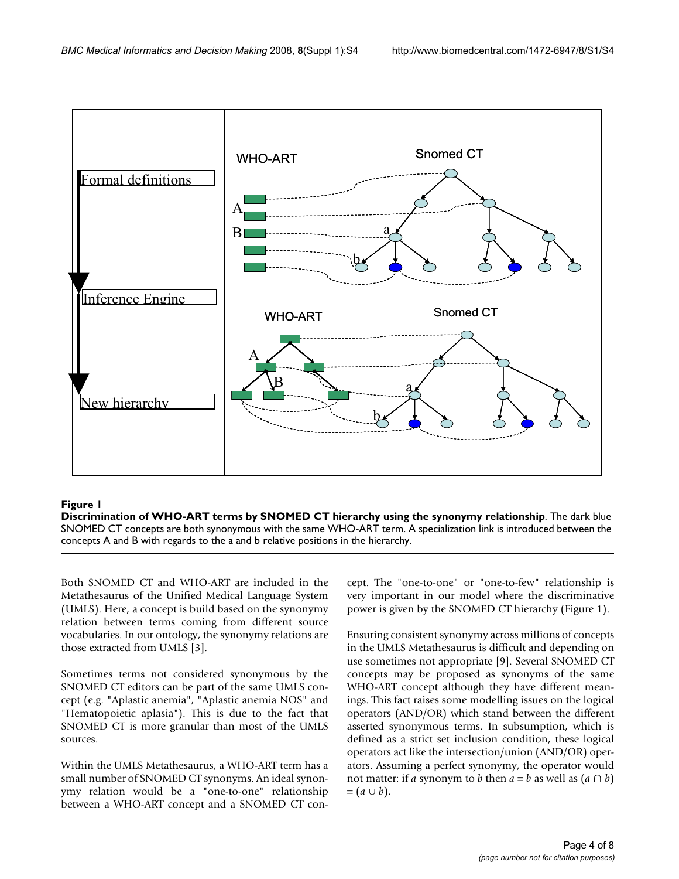

#### Discrimination of WHO-ART terms by SNOMED **Figure 1** CT hierarchy using the synonymy relationship

**Discrimination of WHO-ART terms by SNOMED CT hierarchy using the synonymy relationship**. The dark blue SNOMED CT concepts are both synonymous with the same WHO-ART term. A specialization link is introduced between the concepts A and B with regards to the a and b relative positions in the hierarchy.

Both SNOMED CT and WHO-ART are included in the Metathesaurus of the Unified Medical Language System (UMLS). Here, a concept is build based on the synonymy relation between terms coming from different source vocabularies. In our ontology, the synonymy relations are those extracted from UMLS [3].

Sometimes terms not considered synonymous by the SNOMED CT editors can be part of the same UMLS concept (e.g. "Aplastic anemia", "Aplastic anemia NOS" and "Hematopoietic aplasia"). This is due to the fact that SNOMED CT is more granular than most of the UMLS sources.

Within the UMLS Metathesaurus, a WHO-ART term has a small number of SNOMED CT synonyms. An ideal synonymy relation would be a "one-to-one" relationship between a WHO-ART concept and a SNOMED CT concept. The "one-to-one" or "one-to-few" relationship is very important in our model where the discriminative power is given by the SNOMED CT hierarchy (Figure 1).

Ensuring consistent synonymy across millions of concepts in the UMLS Metathesaurus is difficult and depending on use sometimes not appropriate [9]. Several SNOMED CT concepts may be proposed as synonyms of the same WHO-ART concept although they have different meanings. This fact raises some modelling issues on the logical operators (AND/OR) which stand between the different asserted synonymous terms. In subsumption, which is defined as a strict set inclusion condition, these logical operators act like the intersection/union (AND/OR) operators. Assuming a perfect synonymy, the operator would not matter: if *a* synonym to *b* then  $a \equiv b$  as well as  $(a \cap b)$  $\equiv (a \cup b).$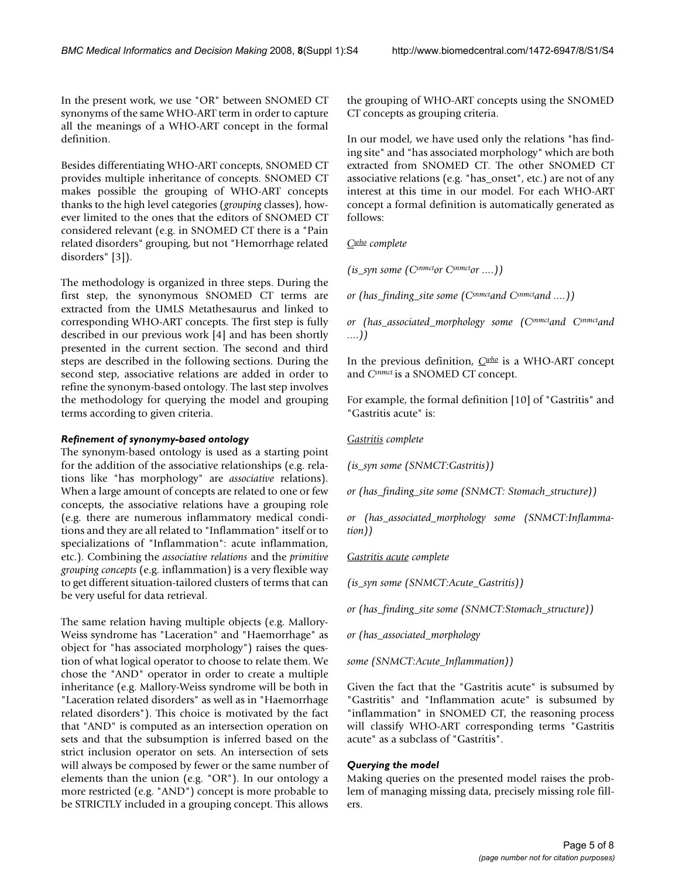In the present work, we use "OR" between SNOMED CT synonyms of the same WHO-ART term in order to capture all the meanings of a WHO-ART concept in the formal definition.

Besides differentiating WHO-ART concepts, SNOMED CT provides multiple inheritance of concepts. SNOMED CT makes possible the grouping of WHO-ART concepts thanks to the high level categories (*grouping* classes), however limited to the ones that the editors of SNOMED CT considered relevant (e.g. in SNOMED CT there is a "Pain related disorders" grouping, but not "Hemorrhage related disorders" [3]).

The methodology is organized in three steps. During the first step, the synonymous SNOMED CT terms are extracted from the UMLS Metathesaurus and linked to corresponding WHO-ART concepts. The first step is fully described in our previous work [4] and has been shortly presented in the current section. The second and third steps are described in the following sections. During the second step, associative relations are added in order to refine the synonym-based ontology. The last step involves the methodology for querying the model and grouping terms according to given criteria.

#### *Refinement of synonymy-based ontology*

The synonym-based ontology is used as a starting point for the addition of the associative relationships (e.g. relations like "has morphology" are *associative* relations). When a large amount of concepts are related to one or few concepts, the associative relations have a grouping role (e.g. there are numerous inflammatory medical conditions and they are all related to "Inflammation" itself or to specializations of "Inflammation": acute inflammation, etc.). Combining the *associative relations* and the *primitive grouping concepts* (e.g. inflammation) is a very flexible way to get different situation-tailored clusters of terms that can be very useful for data retrieval.

The same relation having multiple objects (e.g. Mallory-Weiss syndrome has "Laceration" and "Haemorrhage" as object for "has associated morphology") raises the question of what logical operator to choose to relate them. We chose the "AND" operator in order to create a multiple inheritance (e.g. Mallory-Weiss syndrome will be both in "Laceration related disorders" as well as in "Haemorrhage related disorders"). This choice is motivated by the fact that "AND" is computed as an intersection operation on sets and that the subsumption is inferred based on the strict inclusion operator on sets. An intersection of sets will always be composed by fewer or the same number of elements than the union (e.g. "OR"). In our ontology a more restricted (e.g. "AND") concept is more probable to be STRICTLY included in a grouping concept. This allows the grouping of WHO-ART concepts using the SNOMED CT concepts as grouping criteria.

In our model, we have used only the relations "has finding site" and "has associated morphology" which are both extracted from SNOMED CT. The other SNOMED CT associative relations (e.g. "has\_onset", etc.) are not of any interest at this time in our model. For each WHO-ART concept a formal definition is automatically generated as follows:

*Cwho complete*

*(is\_syn some (Csnmctor Csnmctor ....))*

*or (has\_finding\_site some (Csnmctand Csnmctand ....))*

*or (has\_associated\_morphology some (Csnmctand Csnmctand ....))*

In the previous definition, *Cwho* is a WHO-ART concept and *Csnmct* is a SNOMED CT concept.

For example, the formal definition [10] of "Gastritis" and "Gastritis acute" is:

*Gastritis complete*

*(is\_syn some (SNMCT:Gastritis))*

*or (has\_finding\_site some (SNMCT: Stomach\_structure))*

*or (has\_associated\_morphology some (SNMCT:Inflammation))*

#### *Gastritis acute complete*

*(is\_syn some (SNMCT:Acute\_Gastritis))*

*or (has\_finding\_site some (SNMCT:Stomach\_structure))*

*or (has\_associated\_morphology*

*some (SNMCT:Acute\_Inflammation))*

Given the fact that the "Gastritis acute" is subsumed by "Gastritis" and "Inflammation acute" is subsumed by "inflammation" in SNOMED CT, the reasoning process will classify WHO-ART corresponding terms "Gastritis acute" as a subclass of "Gastritis".

#### *Querying the model*

Making queries on the presented model raises the problem of managing missing data, precisely missing role fillers.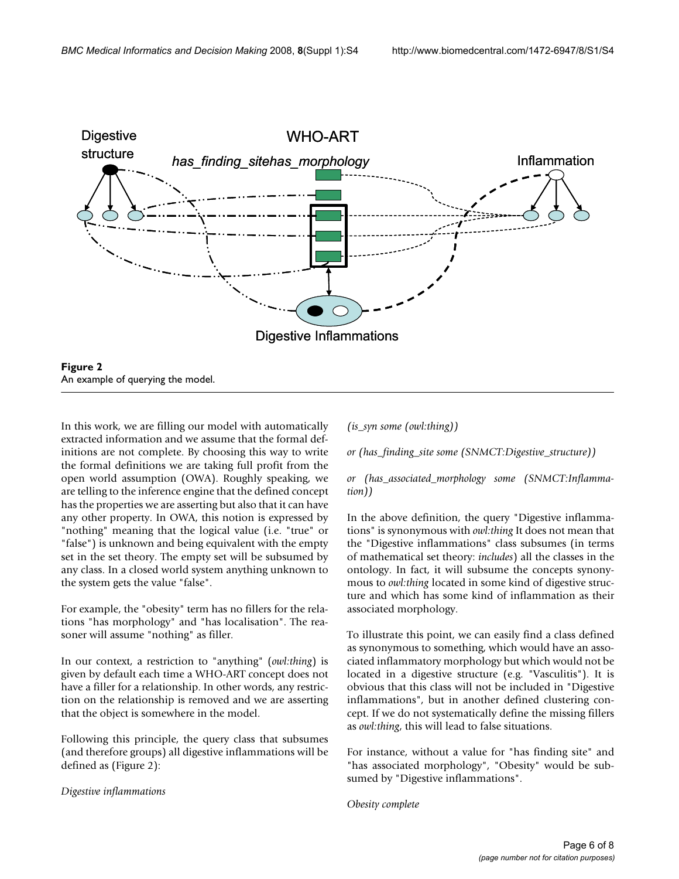

In this work, we are filling our model with automatically extracted information and we assume that the formal definitions are not complete. By choosing this way to write the formal definitions we are taking full profit from the open world assumption (OWA). Roughly speaking, we are telling to the inference engine that the defined concept has the properties we are asserting but also that it can have any other property. In OWA, this notion is expressed by "nothing" meaning that the logical value (i.e. "true" or "false") is unknown and being equivalent with the empty set in the set theory. The empty set will be subsumed by any class. In a closed world system anything unknown to the system gets the value "false".

For example, the "obesity" term has no fillers for the relations "has morphology" and "has localisation". The reasoner will assume "nothing" as filler.

In our context, a restriction to "anything" (*owl:thing*) is given by default each time a WHO-ART concept does not have a filler for a relationship. In other words, any restriction on the relationship is removed and we are asserting that the object is somewhere in the model.

Following this principle, the query class that subsumes (and therefore groups) all digestive inflammations will be defined as (Figure 2):

*Digestive inflammations*

*(is\_syn some (owl:thing))*

*or (has\_finding\_site some (SNMCT:Digestive\_structure))*

*or (has\_associated\_morphology some (SNMCT:Inflammation))*

In the above definition, the query "Digestive inflammations" is synonymous with *owl:thing* It does not mean that the "Digestive inflammations" class subsumes (in terms of mathematical set theory: *includes*) all the classes in the ontology. In fact, it will subsume the concepts synonymous to *owl:thing* located in some kind of digestive structure and which has some kind of inflammation as their associated morphology.

To illustrate this point, we can easily find a class defined as synonymous to something, which would have an associated inflammatory morphology but which would not be located in a digestive structure (e.g. "Vasculitis"). It is obvious that this class will not be included in "Digestive inflammations", but in another defined clustering concept. If we do not systematically define the missing fillers as *owl:thing*, this will lead to false situations.

For instance, without a value for "has finding site" and "has associated morphology", "Obesity" would be subsumed by "Digestive inflammations".

*Obesity complete*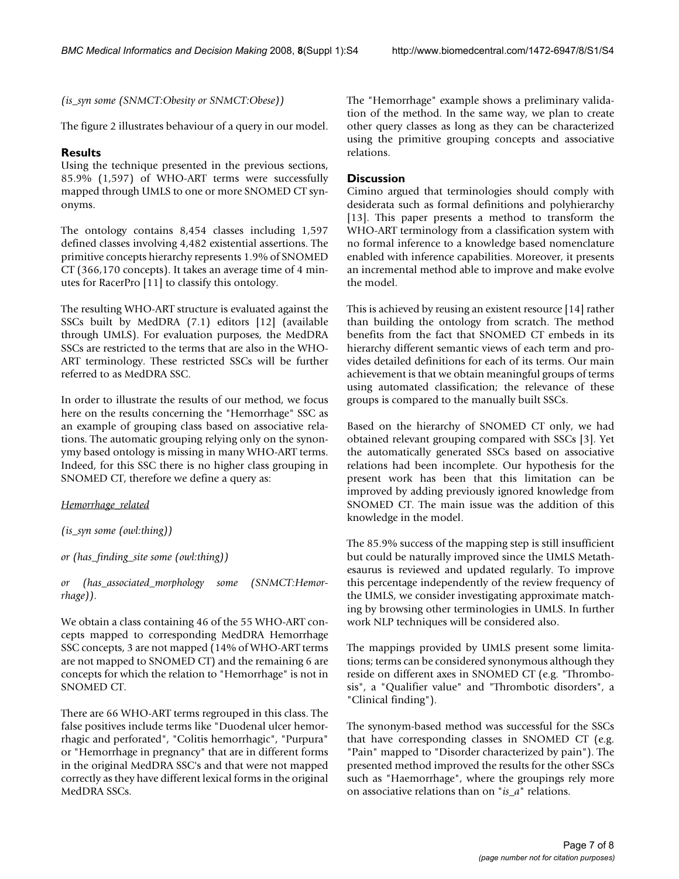*(is\_syn some (SNMCT:Obesity or SNMCT:Obese))*

The figure 2 illustrates behaviour of a query in our model.

#### **Results**

Using the technique presented in the previous sections, 85.9% (1,597) of WHO-ART terms were successfully mapped through UMLS to one or more SNOMED CT synonyms.

The ontology contains 8,454 classes including 1,597 defined classes involving 4,482 existential assertions. The primitive concepts hierarchy represents 1.9% of SNOMED CT (366,170 concepts). It takes an average time of 4 minutes for RacerPro [11] to classify this ontology.

The resulting WHO-ART structure is evaluated against the SSCs built by MedDRA (7.1) editors [12] (available through UMLS). For evaluation purposes, the MedDRA SSCs are restricted to the terms that are also in the WHO-ART terminology. These restricted SSCs will be further referred to as MedDRA SSC.

In order to illustrate the results of our method, we focus here on the results concerning the "Hemorrhage" SSC as an example of grouping class based on associative relations. The automatic grouping relying only on the synonymy based ontology is missing in many WHO-ART terms. Indeed, for this SSC there is no higher class grouping in SNOMED CT, therefore we define a query as:

*Hemorrhage\_related*

*(is\_syn some (owl:thing))*

*or (has\_finding\_site some (owl:thing))*

*or (has\_associated\_morphology some (SNMCT:Hemorrhage)).*

We obtain a class containing 46 of the 55 WHO-ART concepts mapped to corresponding MedDRA Hemorrhage SSC concepts, 3 are not mapped (14% of WHO-ART terms are not mapped to SNOMED CT) and the remaining 6 are concepts for which the relation to "Hemorrhage" is not in SNOMED CT.

There are 66 WHO-ART terms regrouped in this class. The false positives include terms like "Duodenal ulcer hemorrhagic and perforated", "Colitis hemorrhagic", "Purpura" or "Hemorrhage in pregnancy" that are in different forms in the original MedDRA SSC's and that were not mapped correctly as they have different lexical forms in the original MedDRA SSCs.

The "Hemorrhage" example shows a preliminary validation of the method. In the same way, we plan to create other query classes as long as they can be characterized using the primitive grouping concepts and associative relations.

#### **Discussion**

Cimino argued that terminologies should comply with desiderata such as formal definitions and polyhierarchy [13]. This paper presents a method to transform the WHO-ART terminology from a classification system with no formal inference to a knowledge based nomenclature enabled with inference capabilities. Moreover, it presents an incremental method able to improve and make evolve the model.

This is achieved by reusing an existent resource [14] rather than building the ontology from scratch. The method benefits from the fact that SNOMED CT embeds in its hierarchy different semantic views of each term and provides detailed definitions for each of its terms. Our main achievement is that we obtain meaningful groups of terms using automated classification; the relevance of these groups is compared to the manually built SSCs.

Based on the hierarchy of SNOMED CT only, we had obtained relevant grouping compared with SSCs [3]. Yet the automatically generated SSCs based on associative relations had been incomplete. Our hypothesis for the present work has been that this limitation can be improved by adding previously ignored knowledge from SNOMED CT. The main issue was the addition of this knowledge in the model.

The 85.9% success of the mapping step is still insufficient but could be naturally improved since the UMLS Metathesaurus is reviewed and updated regularly. To improve this percentage independently of the review frequency of the UMLS, we consider investigating approximate matching by browsing other terminologies in UMLS. In further work NLP techniques will be considered also.

The mappings provided by UMLS present some limitations; terms can be considered synonymous although they reside on different axes in SNOMED CT (e.g. "Thrombosis", a "Qualifier value" and "Thrombotic disorders", a "Clinical finding").

The synonym-based method was successful for the SSCs that have corresponding classes in SNOMED CT (e.g. "Pain" mapped to "Disorder characterized by pain"). The presented method improved the results for the other SSCs such as "Haemorrhage", where the groupings rely more on associative relations than on "*is\_a*" relations.